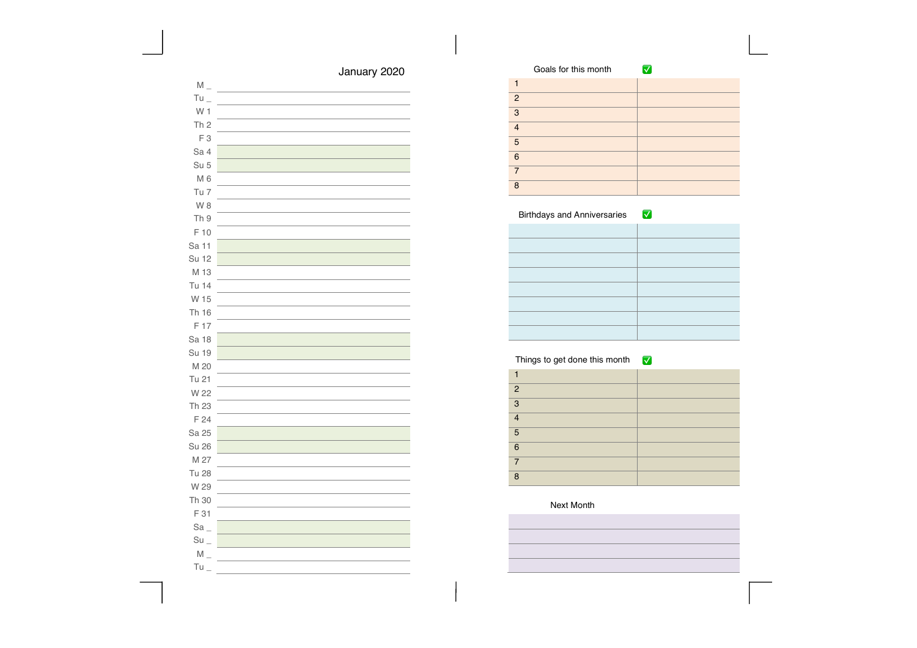# January 2020

| $M_{-}$           |  |
|-------------------|--|
| $Tu_{-}$          |  |
| W <sub>1</sub>    |  |
| Th <sub>2</sub>   |  |
| F <sub>3</sub>    |  |
| Sa 4              |  |
| Su 5              |  |
| $M_6$             |  |
| Tu 7              |  |
| W <sub>8</sub>    |  |
| Th 9              |  |
| F 10              |  |
| Sa 11             |  |
| Su 12             |  |
| M 13              |  |
| Tu 14             |  |
| W 15              |  |
| Th 16             |  |
| F 17              |  |
| Sa 18             |  |
| <b>Su 19</b>      |  |
| M 20              |  |
| Tu 21             |  |
| W 22              |  |
| Th 23             |  |
| F 24              |  |
| Sa 25             |  |
| <b>Su 26</b>      |  |
| M 27              |  |
| <b>Tu 28</b>      |  |
| W 29              |  |
| Th 30             |  |
| F 31              |  |
| $\text{Sa}$       |  |
| $Su$ <sub>-</sub> |  |
| $M_{-}$           |  |
| Tu                |  |

|                | Goals for this month |  |
|----------------|----------------------|--|
|                |                      |  |
| 2              |                      |  |
| 3              |                      |  |
| $\overline{4}$ |                      |  |
| 5              |                      |  |
| 6              |                      |  |
| 7              |                      |  |
| 8              |                      |  |

#### Birthdays and Anniversaries **V**

### Things to get done this month ✅

| $\overline{2}$ |  |
|----------------|--|
| 3              |  |
| $\overline{A}$ |  |
| 5              |  |
| 6              |  |
| 7              |  |
| $\mathsf{R}$   |  |
|                |  |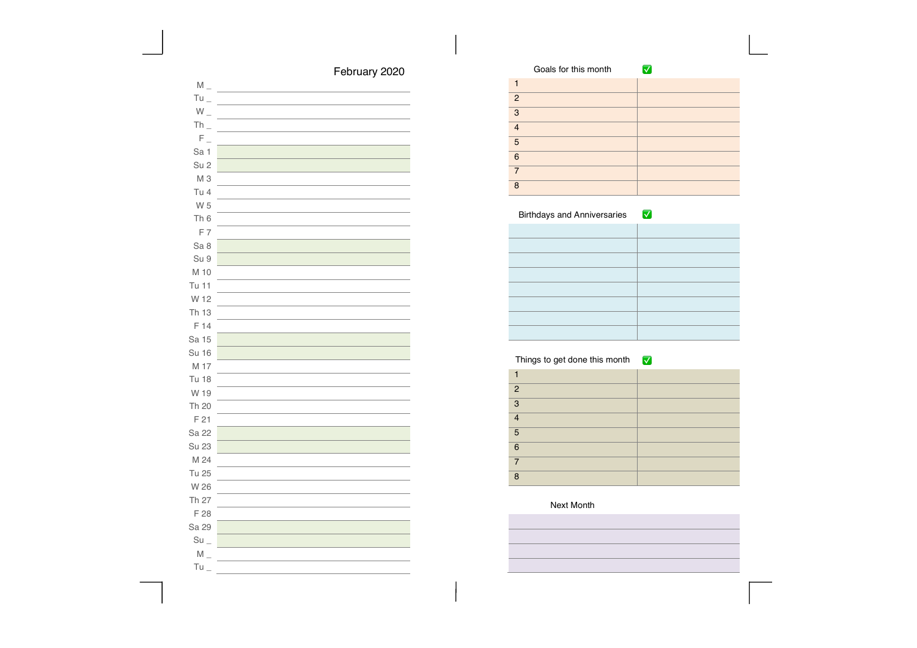# February 2020

| $M_{-}$           |  |
|-------------------|--|
| $Tu_{-}$          |  |
| $W_{-}$           |  |
| $Th_$             |  |
| $F_{\perp}$       |  |
| Sa 1              |  |
| Su <sub>2</sub>   |  |
| M <sub>3</sub>    |  |
| Tu 4              |  |
| W 5               |  |
| Th <sub>6</sub>   |  |
| F 7               |  |
| Sa 8              |  |
| Su 9              |  |
| M 10              |  |
| Tu 11             |  |
| W 12              |  |
| Th 13             |  |
| F 14              |  |
| Sa 15             |  |
| <b>Su 16</b>      |  |
| M 17              |  |
| <b>Tu 18</b>      |  |
| W 19              |  |
| Th 20             |  |
| F <sub>21</sub>   |  |
| Sa 22             |  |
| Su 23             |  |
| M 24              |  |
| Tu 25             |  |
| W 26              |  |
| Th 27             |  |
| F 28              |  |
| Sa 29             |  |
| $Su$ <sub>-</sub> |  |
| $M_{-}$           |  |
| $Tu_$             |  |

|                | Goals for this month |  |
|----------------|----------------------|--|
|                |                      |  |
| $\overline{2}$ |                      |  |
| 3              |                      |  |
| $\overline{4}$ |                      |  |
| 5              |                      |  |
| 6              |                      |  |
| $\overline{7}$ |                      |  |
| 8              |                      |  |

### Birthdays and Anniversaries **V**

### Things to get done this month ✅

| $\overline{2}$  |  |
|-----------------|--|
| $\overline{3}$  |  |
| $\overline{4}$  |  |
| 5               |  |
| $6\phantom{1}6$ |  |
| $\overline{7}$  |  |
| $\mathsf{R}$    |  |
|                 |  |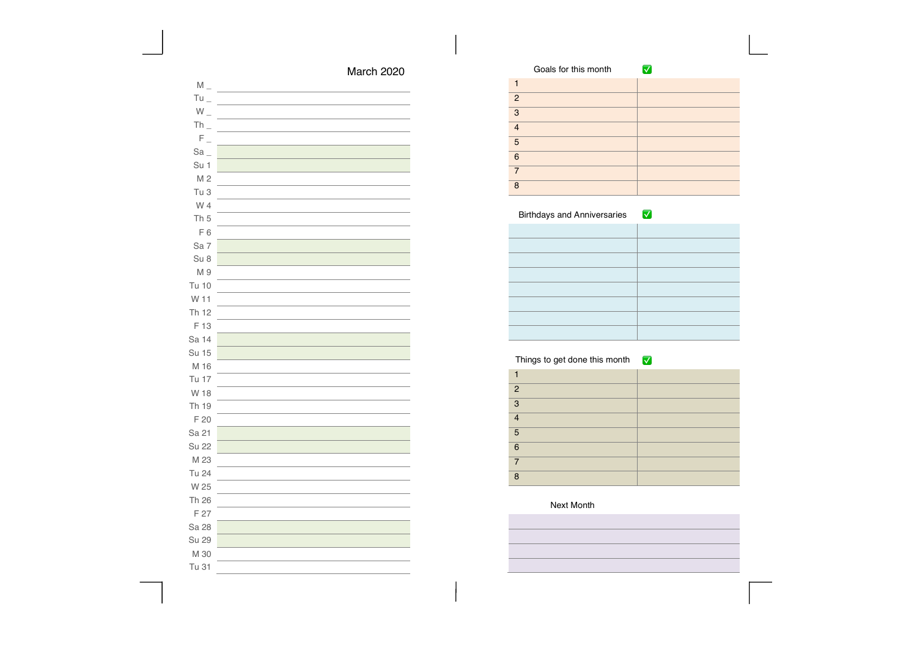| March 2020 |  |
|------------|--|
|------------|--|

| $M_{-}$         |  |
|-----------------|--|
| $Tu_{-}$        |  |
| $W_{-}$         |  |
| $Th_$           |  |
| $F_{\perp}$     |  |
| $Sa_$           |  |
| Su 1            |  |
| M <sub>2</sub>  |  |
| Tu 3            |  |
| W 4             |  |
| Th <sub>5</sub> |  |
| F6              |  |
| Sa 7            |  |
| Su 8            |  |
| M 9             |  |
| Tu 10           |  |
| W 11            |  |
| Th 12           |  |
| F 13            |  |
| Sa 14           |  |
| Su 15           |  |
| M 16            |  |
| Tu 17           |  |
| W 18            |  |
| Th 19           |  |
| F 20            |  |
| Sa 21           |  |
| <b>Su 22</b>    |  |
| M 23            |  |
| Tu 24           |  |
| W 25            |  |
| Th 26           |  |
| F 27            |  |
| Sa 28           |  |
| Su 29           |  |
| M 30            |  |
| Tu 31           |  |

|                | Goals for this month |  |
|----------------|----------------------|--|
|                |                      |  |
| 2              |                      |  |
| 3              |                      |  |
| $\overline{4}$ |                      |  |
| 5              |                      |  |
| 6              |                      |  |
| 7              |                      |  |
| 8              |                      |  |

### Things to get done this month ✅

| $\overline{2}$ |  |
|----------------|--|
| 3              |  |
| $\overline{A}$ |  |
| 5              |  |
| 6              |  |
| 7              |  |
| $\mathsf{R}$   |  |
|                |  |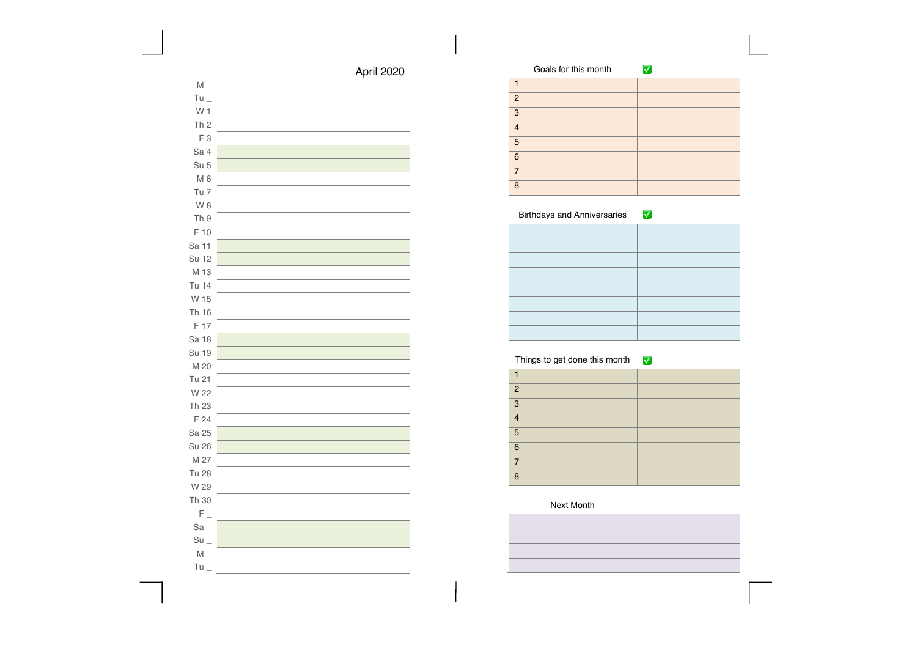| $M_{-}$           |  |
|-------------------|--|
| $Tu_{-}$          |  |
| W 1               |  |
| Th <sub>2</sub>   |  |
| F <sub>3</sub>    |  |
| Sa 4              |  |
| Su 5              |  |
| M <sub>6</sub>    |  |
| Tu 7              |  |
| W <sub>8</sub>    |  |
| Th 9              |  |
| F 10              |  |
| Sa 11             |  |
| Su 12             |  |
| M 13              |  |
| Tu 14             |  |
| W 15              |  |
| Th 16             |  |
| F 17              |  |
| Sa 18             |  |
| <b>Su 19</b>      |  |
| M 20              |  |
| Tu 21             |  |
| W 22              |  |
| Th 23             |  |
| F 24              |  |
| Sa 25             |  |
| <b>Su 26</b>      |  |
| M 27              |  |
| <b>Tu 28</b>      |  |
| W 29              |  |
| Th 30             |  |
| $F_{-}$           |  |
| $Sa_{-}$          |  |
| $Su$ <sub>-</sub> |  |
| $M_{-}$           |  |
| $Tu_{-}$          |  |

|                | Goals for this month |  |
|----------------|----------------------|--|
|                |                      |  |
| 2              |                      |  |
| 3              |                      |  |
| $\overline{4}$ |                      |  |
| 5              |                      |  |
| 6              |                      |  |
| $\overline{7}$ |                      |  |
| 8              |                      |  |

### Things to get done this month ✅

| $\overline{2}$  |  |
|-----------------|--|
| $\overline{3}$  |  |
| $\overline{4}$  |  |
| 5               |  |
| $6\phantom{1}6$ |  |
| $\overline{7}$  |  |
| $\mathsf{R}$    |  |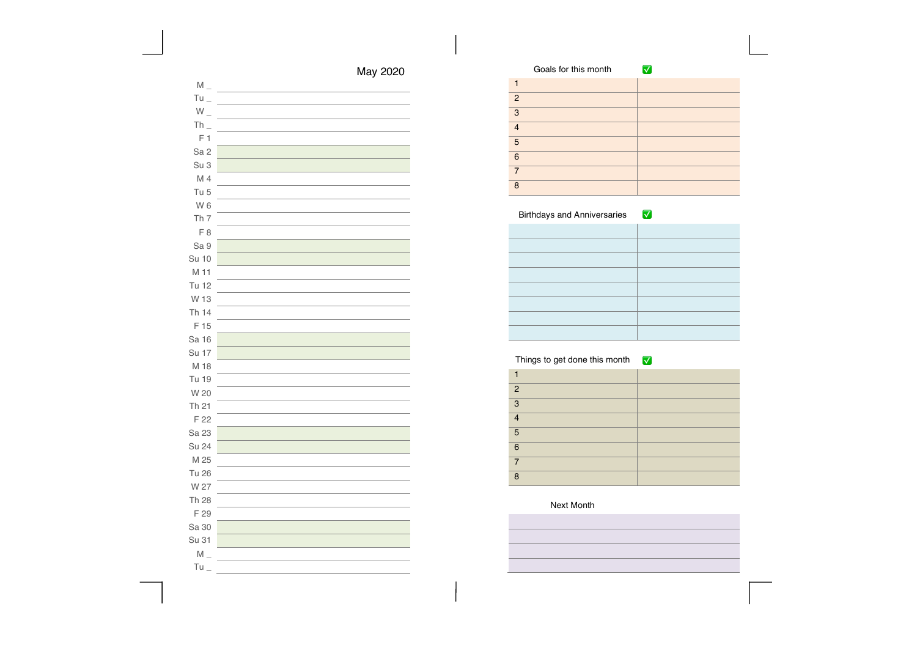| May 2020 |  |
|----------|--|
|----------|--|

| $M_{-}$         |  |
|-----------------|--|
| $Tu_{-}$        |  |
| $W_{-}$         |  |
| $Th_$           |  |
| F <sub>1</sub>  |  |
| Sa <sub>2</sub> |  |
| Su 3            |  |
| M 4             |  |
| Tu <sub>5</sub> |  |
| W <sub>6</sub>  |  |
| Th <sub>7</sub> |  |
| F <sub>8</sub>  |  |
| Sa 9            |  |
| <b>Su 10</b>    |  |
| M 11            |  |
| Tu 12           |  |
| W 13            |  |
| Th 14           |  |
| F 15            |  |
| Sa 16           |  |
| Su 17           |  |
| M 18            |  |
| Tu 19           |  |
| W 20            |  |
| Th 21           |  |
| F 22            |  |
| Sa 23           |  |
| Su 24           |  |
| M 25            |  |
| <b>Tu 26</b>    |  |
| W 27            |  |
| Th 28           |  |
| F 29            |  |
| Sa 30           |  |
| Su 31           |  |
| $M_{-}$         |  |
| $Tu_{-}$        |  |

|                | Goals for this month |  |
|----------------|----------------------|--|
|                |                      |  |
| 2              |                      |  |
| 3              |                      |  |
| $\overline{4}$ |                      |  |
| 5              |                      |  |
| 6              |                      |  |
| 7              |                      |  |
| $\mathsf{R}$   |                      |  |

### Things to get done this month ✅

| $\overline{2}$  |  |
|-----------------|--|
| $\overline{3}$  |  |
| $\overline{4}$  |  |
| 5               |  |
| $6\phantom{1}6$ |  |
| $\overline{7}$  |  |
| $\mathsf{R}$    |  |
|                 |  |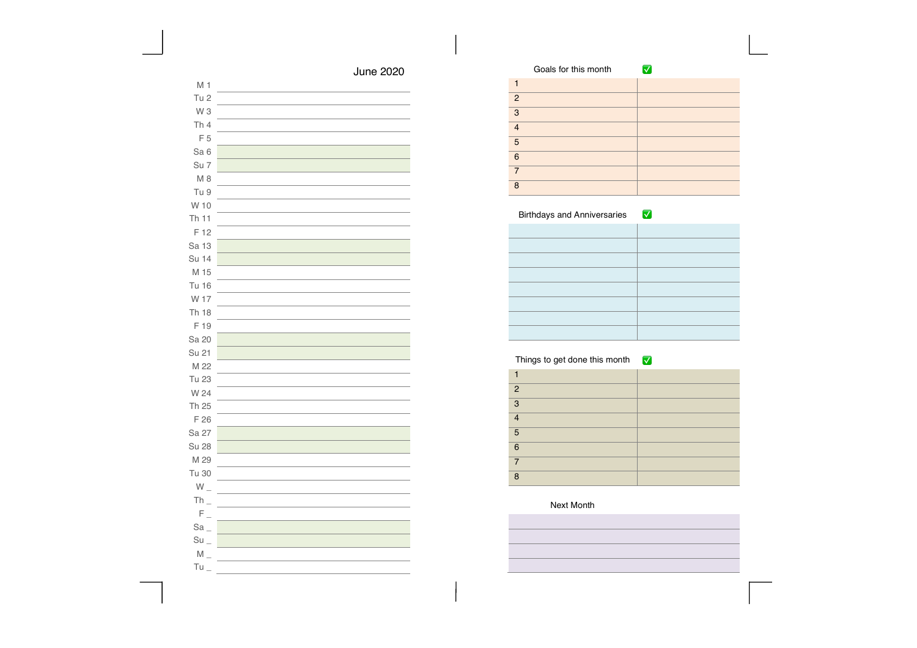| M 1               |  |
|-------------------|--|
| Tu <sub>2</sub>   |  |
| W <sub>3</sub>    |  |
| Th4               |  |
| F <sub>5</sub>    |  |
| Sa 6              |  |
| Su 7              |  |
| $M_8$             |  |
| Tu 9              |  |
| W 10              |  |
| Th 11             |  |
| F 12              |  |
| Sa 13             |  |
| Su 14             |  |
| M 15              |  |
| <b>Tu 16</b>      |  |
| W 17              |  |
| Th 18             |  |
| F 19              |  |
| Sa 20             |  |
| Su 21             |  |
| M 22              |  |
| Tu 23             |  |
| W 24              |  |
| Th 25             |  |
| F 26              |  |
| Sa 27             |  |
| <b>Su 28</b>      |  |
| M 29              |  |
| Tu 30             |  |
| $W_{-}$           |  |
| $Th_$             |  |
| $F_{\perp}$       |  |
| $Sa_{-}$          |  |
| $Su$ <sub>-</sub> |  |
| $M_{-}$           |  |
| Tu                |  |
|                   |  |

|                | Goals for this month |  |
|----------------|----------------------|--|
|                |                      |  |
| 2              |                      |  |
| 3              |                      |  |
| $\overline{4}$ |                      |  |
| 5              |                      |  |
| 6              |                      |  |
| $\overline{7}$ |                      |  |
| 8              |                      |  |

### Things to get done this month ✅

| $\overline{2}$  |  |
|-----------------|--|
| $\overline{3}$  |  |
| $\overline{4}$  |  |
| 5               |  |
| $6\phantom{1}6$ |  |
| $\overline{7}$  |  |
| $\mathsf{R}$    |  |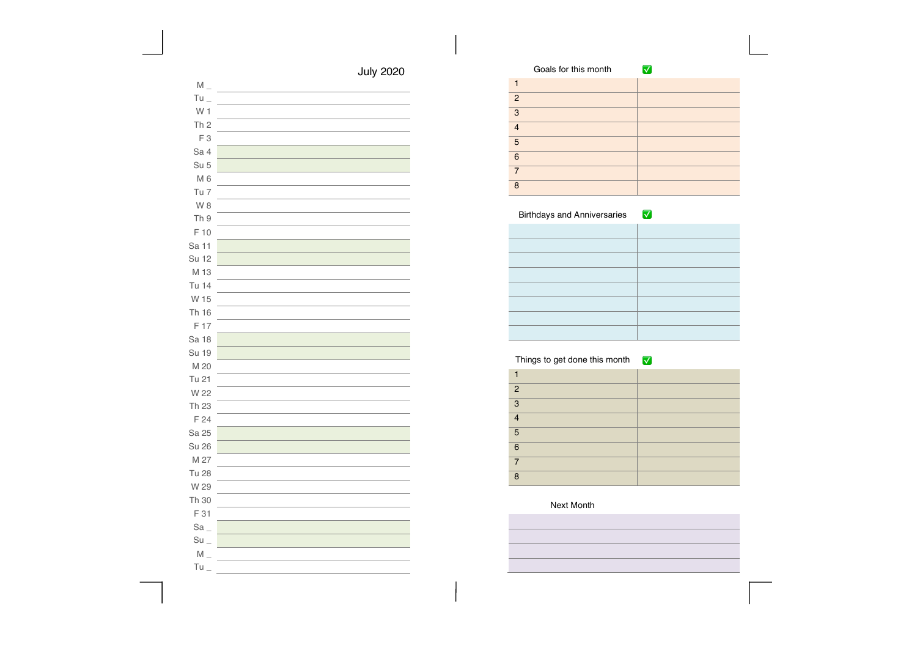| $M_{-}$                        |  |
|--------------------------------|--|
| $Tu_{-}$                       |  |
| W 1                            |  |
| Th <sub>2</sub>                |  |
| $F_3$                          |  |
| Sa 4                           |  |
| Su 5                           |  |
| $M_6$                          |  |
| Tu 7                           |  |
| W <sub>8</sub>                 |  |
| Th 9                           |  |
| F 10                           |  |
| Sa 11                          |  |
| Su 12                          |  |
| M 13                           |  |
| Tu 14                          |  |
| W 15                           |  |
| Th 16                          |  |
| F 17                           |  |
| Sa 18                          |  |
| <b>Su 19</b>                   |  |
| M 20                           |  |
| Tu 21                          |  |
| W 22                           |  |
| Th 23                          |  |
| F 24                           |  |
| Sa 25                          |  |
| <b>Su 26</b>                   |  |
| M 27                           |  |
| <b>Tu 28</b>                   |  |
| W 29                           |  |
| Th 30                          |  |
| F 31                           |  |
| $Sa_$                          |  |
| $Su$ <sub><math>-</math></sub> |  |
| $M_{-}$                        |  |
| $Tu_{-}$                       |  |

|                | Goals for this month |  |
|----------------|----------------------|--|
|                |                      |  |
| 2              |                      |  |
| 3              |                      |  |
| $\overline{4}$ |                      |  |
| 5              |                      |  |
| 6              |                      |  |
| $\overline{7}$ |                      |  |
| 8              |                      |  |

### Things to get done this month ✅

| $\overline{2}$ |  |
|----------------|--|
| 3              |  |
| $\overline{A}$ |  |
| 5              |  |
| 6              |  |
| 7              |  |
| $\mathsf{R}$   |  |
|                |  |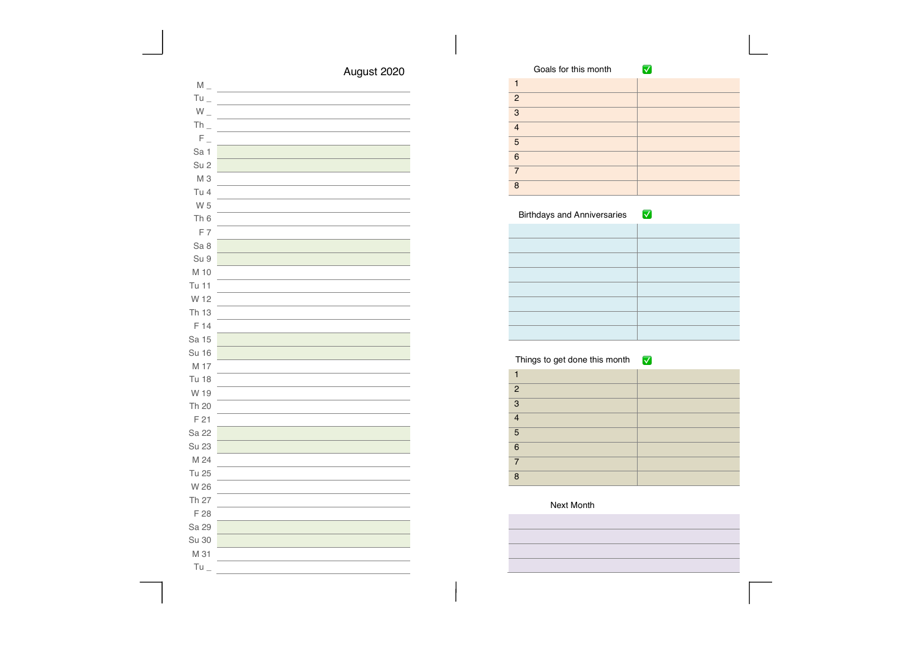# August 2020

| $M_{-}$         |  |
|-----------------|--|
| $Tu =$          |  |
| $W_{-}$         |  |
| $Th_$           |  |
| $F_{\perp}$     |  |
| Sa 1            |  |
| Su <sub>2</sub> |  |
| M <sub>3</sub>  |  |
| Tu 4            |  |
| W 5             |  |
| Th <sub>6</sub> |  |
| F7              |  |
| Sa 8            |  |
| Su 9            |  |
| M 10            |  |
| Tu 11           |  |
| W 12            |  |
| Th 13           |  |
| F 14            |  |
| Sa 15           |  |
| <b>Su 16</b>    |  |
| M 17            |  |
| <b>Tu 18</b>    |  |
| W 19            |  |
| Th 20           |  |
| F 21            |  |
| Sa 22           |  |
| Su 23           |  |
| M 24            |  |
| Tu 25           |  |
| W 26            |  |
| Th 27           |  |
| F 28            |  |
| Sa 29           |  |
| Su 30           |  |
| M 31            |  |
| Tu              |  |
|                 |  |

|                | Goals for this month |  |
|----------------|----------------------|--|
|                |                      |  |
| 2              |                      |  |
| 3              |                      |  |
| $\overline{4}$ |                      |  |
| 5              |                      |  |
| 6              |                      |  |
| 7              |                      |  |
| 8              |                      |  |

### Birthdays and Anniversaries **V**

### Things to get done this month ✅

| $\overline{2}$ |  |
|----------------|--|
| 3              |  |
| $\overline{A}$ |  |
| 5              |  |
| 6              |  |
| 7              |  |
| $\mathsf{R}$   |  |
|                |  |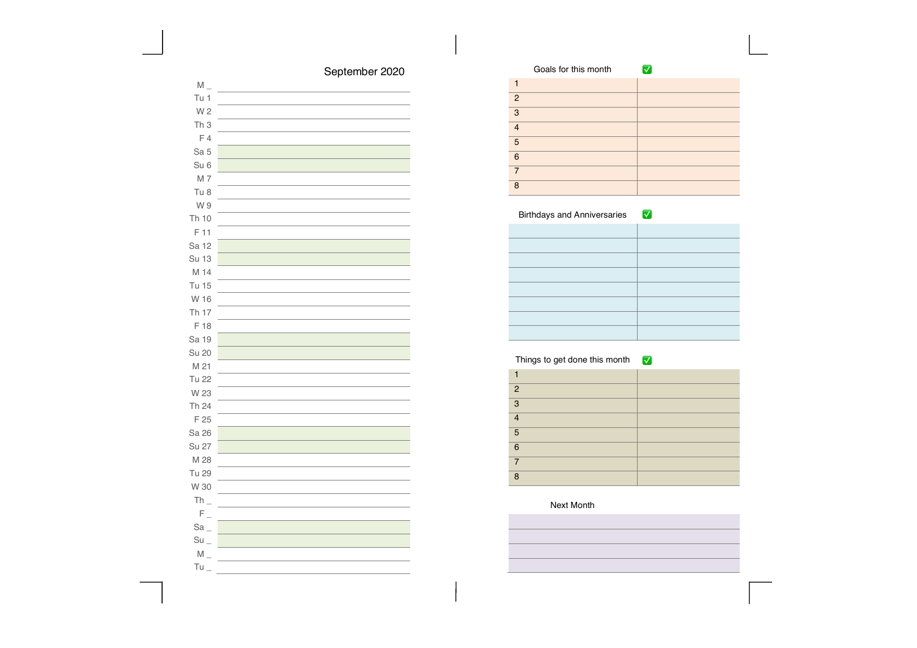# September 2020

| $M_{-}$           |  |
|-------------------|--|
| Tu 1              |  |
| W 2               |  |
| Th <sub>3</sub>   |  |
| F4                |  |
| Sa 5              |  |
| Su <sub>6</sub>   |  |
| M 7               |  |
| Tu 8              |  |
| W 9               |  |
| Th 10             |  |
| F 11              |  |
| Sa 12             |  |
| <b>Su 13</b>      |  |
| M 14              |  |
| <b>Tu 15</b>      |  |
| W 16              |  |
| Th 17             |  |
| F 18              |  |
| Sa 19             |  |
| Su 20             |  |
| M 21              |  |
| Tu 22             |  |
| W 23              |  |
| Th 24             |  |
| F 25              |  |
| Sa 26             |  |
| Su 27             |  |
| M 28              |  |
| Tu 29             |  |
| W 30              |  |
| $Th_$             |  |
| $F_{\perp}$       |  |
| Sa                |  |
| $Su$ <sub>-</sub> |  |
| $M_{-}$           |  |
| $Tu_$             |  |

|                | Goals for this month |  |
|----------------|----------------------|--|
|                |                      |  |
| 2              |                      |  |
| 3              |                      |  |
| $\overline{4}$ |                      |  |
| 5              |                      |  |
| 6              |                      |  |
| 7              |                      |  |
| $\mathsf{R}$   |                      |  |

### Birthdays and Anniversaries **V**

### Things to get done this month ✅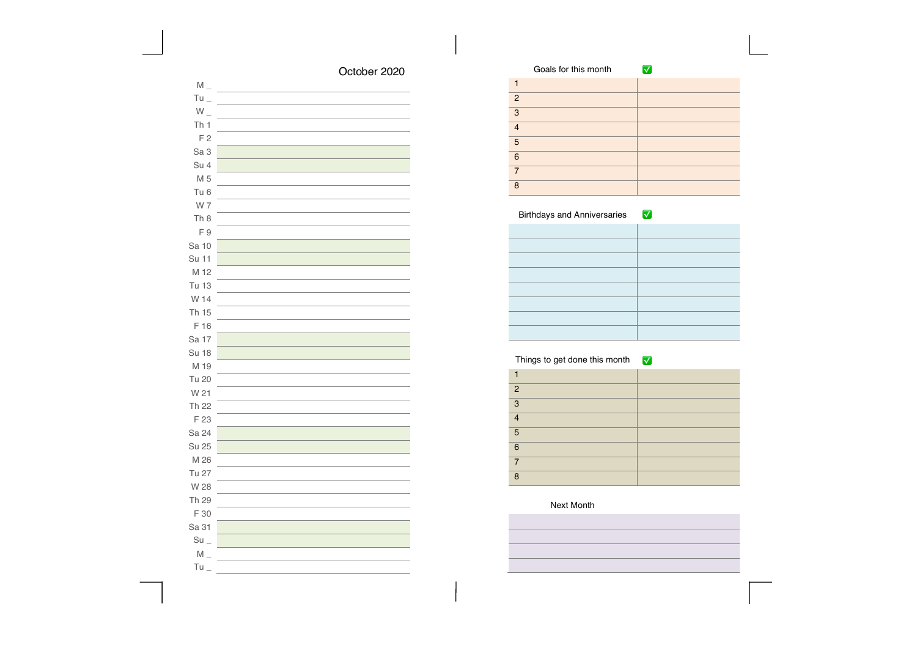## October 2020

| $M_{-}$           |  |
|-------------------|--|
| $Tu =$            |  |
| $W_{-}$           |  |
| Th <sub>1</sub>   |  |
| F <sub>2</sub>    |  |
| Sa 3              |  |
| Su 4              |  |
| M 5               |  |
| Tu <sub>6</sub>   |  |
| W 7               |  |
| Th <sub>8</sub>   |  |
| F9                |  |
| Sa 10             |  |
| Su 11             |  |
| M 12              |  |
| Tu 13             |  |
| W 14              |  |
| Th 15             |  |
| F 16              |  |
| Sa 17             |  |
| <b>Su 18</b>      |  |
| M 19              |  |
| Tu 20             |  |
| W 21              |  |
| Th 22             |  |
| F 23              |  |
| Sa 24             |  |
| Su 25             |  |
| M 26              |  |
| Tu 27             |  |
| W 28              |  |
| Th 29             |  |
| F 30              |  |
| Sa 31             |  |
| $Su$ <sub>-</sub> |  |
| $M_{-}$           |  |
| Tu                |  |

|                | Goals for this month |  |
|----------------|----------------------|--|
|                |                      |  |
| 2              |                      |  |
| 3              |                      |  |
| $\overline{4}$ |                      |  |
| 5              |                      |  |
| 6              |                      |  |
| $\overline{7}$ |                      |  |
| 8              |                      |  |

### Birthdays and Anniversaries **V**

### Things to get done this month ✅

| $\overline{2}$           |  |
|--------------------------|--|
| $\overline{3}$           |  |
| $\overline{4}$           |  |
| 5                        |  |
| $6\phantom{1}6$          |  |
| $\overline{\phantom{a}}$ |  |
| $\mathsf{R}$             |  |
|                          |  |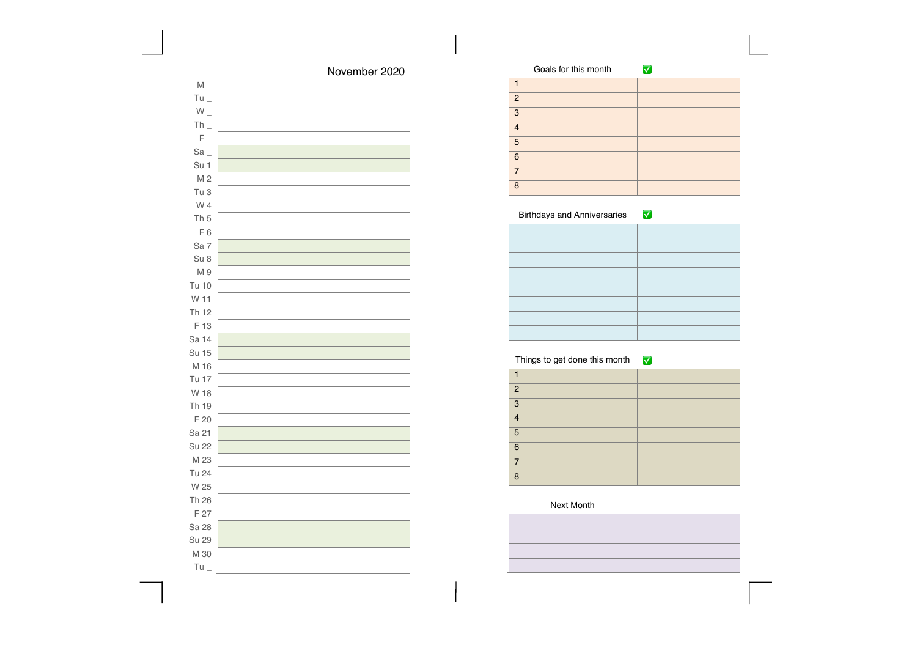| November 2020 |  |
|---------------|--|
|---------------|--|

|                | Goals for this month |  |
|----------------|----------------------|--|
|                |                      |  |
| $\overline{2}$ |                      |  |
| 3              |                      |  |
| $\overline{4}$ |                      |  |
| 5              |                      |  |
| 6              |                      |  |
| $\overline{7}$ |                      |  |
| $\mathsf{R}$   |                      |  |

### Things to get done this month ✅

| $\overline{2}$           |  |
|--------------------------|--|
| $\overline{3}$           |  |
| $\overline{4}$           |  |
| 5                        |  |
| $6\phantom{1}6$          |  |
| $\overline{\phantom{a}}$ |  |
| $\mathsf{R}$             |  |
|                          |  |